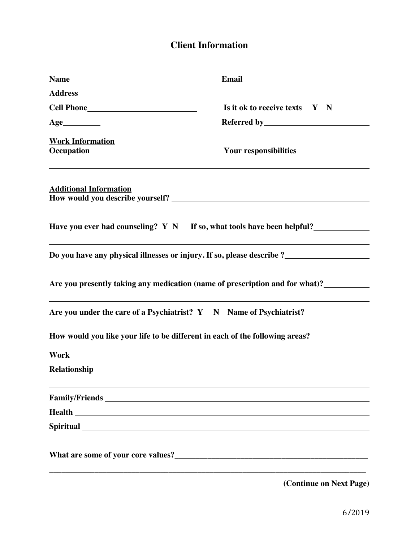## **Client Information**

|                                                                                                                                                                                                                                | Is it ok to receive texts Y N                                                |
|--------------------------------------------------------------------------------------------------------------------------------------------------------------------------------------------------------------------------------|------------------------------------------------------------------------------|
| Age                                                                                                                                                                                                                            |                                                                              |
| <b>Work Information</b>                                                                                                                                                                                                        |                                                                              |
| <b>Additional Information</b>                                                                                                                                                                                                  |                                                                              |
|                                                                                                                                                                                                                                | Have you ever had counseling? $Y \ N$ If so, what tools have been helpful?   |
|                                                                                                                                                                                                                                |                                                                              |
|                                                                                                                                                                                                                                | Are you presently taking any medication (name of prescription and for what)? |
|                                                                                                                                                                                                                                | Are you under the care of a Psychiatrist? Y N Name of Psychiatrist?          |
|                                                                                                                                                                                                                                | How would you like your life to be different in each of the following areas? |
|                                                                                                                                                                                                                                |                                                                              |
|                                                                                                                                                                                                                                |                                                                              |
|                                                                                                                                                                                                                                |                                                                              |
| <b>Health</b>                                                                                                                                                                                                                  |                                                                              |
| Spiritual Spiritual Spiritual Spiritual Spiritual Spiritual Spiritual Spiritual Spiritual Spiritual Spiritual Spiritual Spiritual Spiritual Spiritual Spiritual Spiritual Spiritual Spiritual Spiritual Spiritual Spiritual Sp |                                                                              |
|                                                                                                                                                                                                                                |                                                                              |
|                                                                                                                                                                                                                                |                                                                              |

**(Continue on Next Page)**